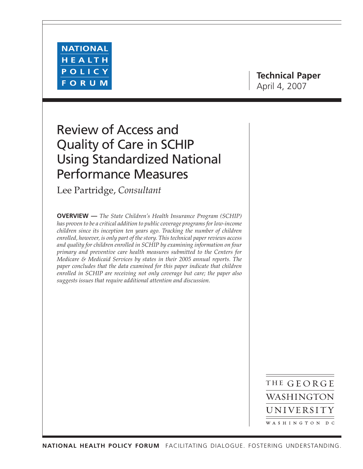

# **Technical Paper** April 4, 2007

# Review of Access and Quality of Care in SCHIP Using Standardized National Performance Measures

Lee Partridge, *Consultant*

**OVERVIEW —** *The State Children's Health Insurance Program (SCHIP) has proven to be a critical addition to public coverage programs for low-income children since its inception ten years ago. Tracking the number of children enrolled, however, is only part of the story. This technical paper reviews access and quality for children enrolled in SCHIP by examining information on four primary and preventive care health measures submitted to the Centers for Medicare & Medicaid Services by states in their 2005 annual reports. The paper concludes that the data examined for this paper indicate that children enrolled in SCHIP are receiving not only coverage but care; the paper also suggests issues that require additional attention and discussion.*

> THE GEORGE WASHINGTON UNIVERSITY WASHINGTON DC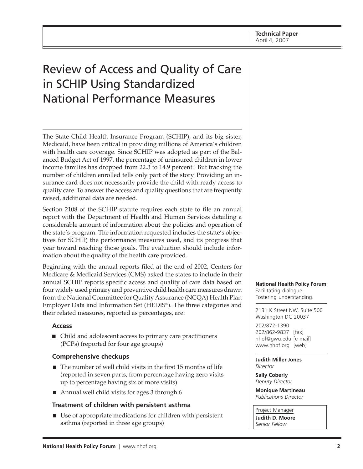# Review of Access and Quality of Care in SCHIP Using Standardized National Performance Measures

The State Child Health Insurance Program (SCHIP), and its big sister, Medicaid, have been critical in providing millions of America's children with health care coverage. Since SCHIP was adopted as part of the Balanced Budget Act of 1997, the percentage of uninsured children in lower income families has dropped from 22.3 to 14.9 percent. $^1$  But tracking the number of children enrolled tells only part of the story. Providing an insurance card does not necessarily provide the child with ready access to quality care. To answer the access and quality questions that are frequently raised, additional data are needed.

Section 2108 of the SCHIP statute requires each state to file an annual report with the Department of Health and Human Services detailing a considerable amount of information about the policies and operation of the state's program. The information requested includes the state's objectives for SCHIP, the performance measures used, and its progress that year toward reaching those goals. The evaluation should include information about the quality of the health care provided.

Beginning with the annual reports filed at the end of 2002, Centers for Medicare & Medicaid Services (CMS) asked the states to include in their annual SCHIP reports specific access and quality of care data based on four widely used primary and preventive child health care measures drawn from the National Committee for Quality Assurance (NCQA) Health Plan Employer Data and Information Set (HEDIS®). The three categories and their related measures, reported as percentages, are:

### **Access**

■ Child and adolescent access to primary care practitioners (PCPs) (reported for four age groups)

### **Comprehensive checkups**

- The number of well child visits in the first 15 months of life (reported in seven parts, from percentage having zero visits up to percentage having six or more visits)
- Annual well child visits for ages 3 through 6

### **Treatment of children with persistent asthma**

■ Use of appropriate medications for children with persistent asthma (reported in three age groups)

**National Health Policy Forum** Facilitating dialogue. Fostering understanding.

2131 K Street NW, Suite 500 Washington DC 20037

202/872-1390 202/862-9837 [fax] [nhpf@gwu.edu \[e](mailto:nhpf@gwu.edu)-mail] [www.nhpf.org \[w](http://www.nhpf.org)eb]

**Judith Miller Jones** *Director*

**Sally Coberly** *Deputy Director*

**Monique Martineau** *Publications Director*

Project Manager

**Judith D. Moore** *Senior Fellow*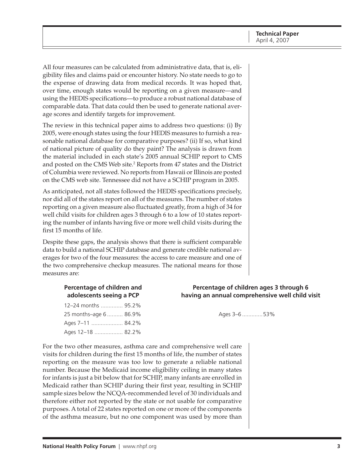All four measures can be calculated from administrative data, that is, eligibility files and claims paid or encounter history. No state needs to go to the expense of drawing data from medical records. It was hoped that, over time, enough states would be reporting on a given measure—and using the HEDIS specifications—to produce a robust national database of comparable data. That data could then be used to generate national average scores and identify targets for improvement.

The review in this technical paper aims to address two questions: (i) By 2005, were enough states using the four HEDIS measures to furnish a reasonable national database for comparative purposes? (ii) If so, what kind of national picture of quality do they paint? The analysis is drawn from the material included in each state's 2005 annual SCHIP report to CMS and posted on the CMS Web site.<sup>2</sup> Reports from 47 states and the District of Columbia were reviewed. No reports from Hawaii or Illinois are posted on the CMS web site. Tennessee did not have a SCHIP program in 2005.

As anticipated, not all states followed the HEDIS specifications precisely, nor did all of the states report on all of the measures. The number of states reporting on a given measure also fluctuated greatly, from a high of 34 for well child visits for children ages 3 through 6 to a low of 10 states reporting the number of infants having five or more well child visits during the first 15 months of life.

Despite these gaps, the analysis shows that there is sufficient comparable data to build a national SCHIP database and generate credible national averages for two of the four measures: the access to care measure and one of the two comprehensive checkup measures. The national means for those measures are:

| 12-24 months  95.2%    |  |
|------------------------|--|
| 25 months-age 6  86.9% |  |
| Ages 7–11  84.2%       |  |
| Ages 12-18  82.2%      |  |

#### **Percentage of children and Percentage of children ages 3 through 6 adolescents seeing a PCP having an annual comprehensive well child visit**

Ages 3–6 ..............53%

For the two other measures, asthma care and comprehensive well care visits for children during the first 15 months of life, the number of states reporting on the measure was too low to generate a reliable national number. Because the Medicaid income eligibility ceiling in many states for infants is just a bit below that for SCHIP, many infants are enrolled in Medicaid rather than SCHIP during their first year, resulting in SCHIP sample sizes below the NCQA-recommended level of 30 individuals and therefore either not reported by the state or not usable for comparative purposes. A total of 22 states reported on one or more of the components of the asthma measure, but no one component was used by more than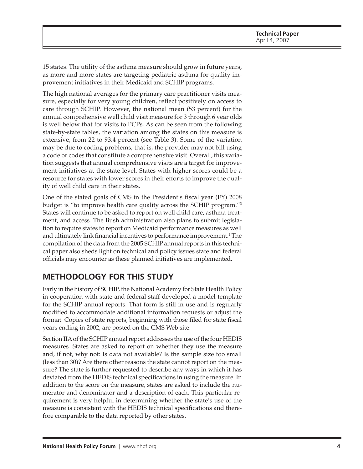15 states. The utility of the asthma measure should grow in future years, as more and more states are targeting pediatric asthma for quality improvement initiatives in their Medicaid and SCHIP programs.

The high national averages for the primary care practitioner visits measure, especially for very young children, reflect positively on access to care through SCHIP. However, the national mean (53 percent) for the annual comprehensive well child visit measure for 3 through 6 year olds is well below that for visits to PCPs. As can be seen from the following state-by-state tables, the variation among the states on this measure is extensive, from 22 to 93.4 percent (see Table 3). Some of the variation may be due to coding problems, that is, the provider may not bill using a code or codes that constitute a comprehensive visit. Overall, this variation suggests that annual comprehensive visits are a target for improvement initiatives at the state level. States with higher scores could be a resource for states with lower scores in their efforts to improve the quality of well child care in their states.

One of the stated goals of CMS in the President's fiscal year (FY) 2008 budget is "to improve health care quality across the SCHIP program."3 States will continue to be asked to report on well child care, asthma treatment, and access. The Bush administration also plans to submit legislation to require states to report on Medicaid performance measures as well and ultimately link financial incentives to performance improvement.<sup>4</sup> The compilation of the data from the 2005 SCHIP annual reports in this technical paper also sheds light on technical and policy issues state and federal officials may encounter as these planned initiatives are implemented.

# **METHODOLOGY FOR THIS STUDY**

Early in the history of SCHIP, the National Academy for State Health Policy in cooperation with state and federal staff developed a model template for the SCHIP annual reports. That form is still in use and is regularly modified to accommodate additional information requests or adjust the format. Copies of state reports, beginning with those filed for state fiscal years ending in 2002, are posted on the CMS Web site.

Section IIA of the SCHIP annual report addresses the use of the four HEDIS measures. States are asked to report on whether they use the measure and, if not, why not: Is data not available? Is the sample size too small (less than 30)? Are there other reasons the state cannot report on the measure? The state is further requested to describe any ways in which it has deviated from the HEDIS technical specifications in using the measure. In addition to the score on the measure, states are asked to include the numerator and denominator and a description of each. This particular requirement is very helpful in determining whether the state's use of the measure is consistent with the HEDIS technical specifications and therefore comparable to the data reported by other states.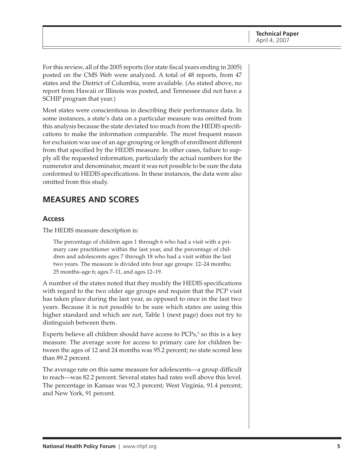For this review, all of the 2005 reports (for state fiscal years ending in 2005) posted on the CMS Web were analyzed. A total of 48 reports, from 47 states and the District of Columbia, were available. (As stated above, no report from Hawaii or Illinois was posted, and Tennessee did not have a SCHIP program that year.)

Most states were conscientious in describing their performance data. In some instances, a state's data on a particular measure was omitted from this analysis because the state deviated too much from the HEDIS specifications to make the information comparable. The most frequent reason for exclusion was use of an age grouping or length of enrollment different from that specified by the HEDIS measure. In other cases, failure to supply all the requested information, particularly the actual numbers for the numerator and denominator, meant it was not possible to be sure the data conformed to HEDIS specifications. In these instances, the data were also omitted from this study.

# **MEASURES AND SCORES**

#### **Access**

The HEDIS measure description is:

The percentage of children ages 1 through 6 who had a visit with a primary care practitioner within the last year, and the percentage of children and adolescents ages 7 through 18 who had a visit within the last two years. The measure is divided into four age groups: 12–24 months; 25 months–age 6; ages 7–11, and ages 12–19.

A number of the states noted that they modify the HEDIS specifications with regard to the two older age groups and require that the PCP visit has taken place during the last year, as opposed to once in the last two years. Because it is not possible to be sure which states are using this higher standard and which are not, Table 1 (next page) does not try to distinguish between them.

Experts believe all children should have access to  $PCPs<sup>5</sup>$  so this is a key measure. The average score for access to primary care for children between the ages of 12 and 24 months was 95.2 percent; no state scored less than 89.2 percent.

The average rate on this same measure for adolescents—a group difficult to reach—was 82.2 percent. Several states had rates well above this level. The percentage in Kansas was 92.3 percent; West Virginia, 91.4 percent; and New York, 91 percent.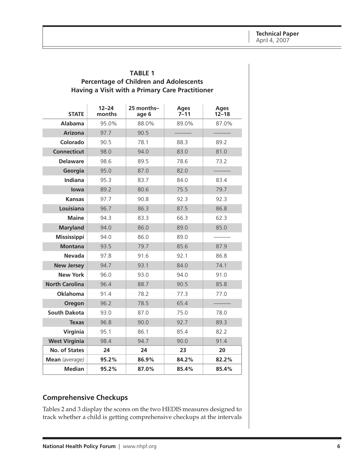| Having a Visit with a Primary Care Practitioner |                     |                     |                         |                          |
|-------------------------------------------------|---------------------|---------------------|-------------------------|--------------------------|
| <b>STATE</b>                                    | $12 - 24$<br>months | 25 months-<br>age 6 | <b>Ages</b><br>$7 - 11$ | <b>Ages</b><br>$12 - 18$ |
| <b>Alabama</b>                                  | 95.0%               | 88.0%               | 89.0%                   | 87.0%                    |
| <b>Arizona</b>                                  | 97.7                | 90.5                |                         |                          |
| Colorado                                        | 90.5                | 78.1                | 88.3                    | 89.2                     |
| <b>Connecticut</b>                              | 98.0                | 94.0                | 83.0                    | 81.0                     |
| <b>Delaware</b>                                 | 98.6                | 89.5                | 78.6                    | 73.2                     |
| Georgia                                         | 95.0                | 87.0                | 82.0                    |                          |
| Indiana                                         | 95.3                | 83.7                | 84.0                    | 83.4                     |
| lowa                                            | 89.2                | 80.6                | 75.5                    | 79.7                     |
| <b>Kansas</b>                                   | 97.7                | 90.8                | 92.3                    | 92.3                     |
| Louisiana                                       | 96.7                | 86.3                | 87.5                    | 86.8                     |
| <b>Maine</b>                                    | 94.3                | 83.3                | 66.3                    | 62.3                     |
| <b>Maryland</b>                                 | 94.0                | 86.0                | 89.0                    | 85.0                     |
| <b>Mississippi</b>                              | 94.0                | 86.0                | 89.0                    |                          |
| <b>Montana</b>                                  | 93.5                | 79.7                | 85.6                    | 87.9                     |
| <b>Nevada</b>                                   | 97.8                | 91.6                | 92.1                    | 86.8                     |
| <b>New Jersey</b>                               | 94.7                | 93.1                | 84.0                    | 74.1                     |
| <b>New York</b>                                 | 96.0                | 93.0                | 94.0                    | 91.0                     |
| <b>North Carolina</b>                           | 96.4                | 88.7                | 90.5                    | 85.8                     |
| <b>Oklahoma</b>                                 | 91.4                | 78.2                | 77.3                    | 77.0                     |
| Oregon                                          | 96.2                | 78.5                | 65.4                    |                          |
| <b>South Dakota</b>                             | 93.0                | 87.0                | 75.0                    | 78.0                     |
| <b>Texas</b>                                    | 96.8                | 90.0                | 92.7                    | 89.3                     |
| Virginia                                        | 95.1                | 86.1                | 85.4                    | 82.2                     |
| <b>West Virginia</b>                            | 98.4                | 94.7                | 90.0                    | 91.4                     |
| <b>No. of States</b>                            | 24                  | 24                  | 23                      | 20                       |
| Mean (average)                                  | 95.2%               | 86.9%               | 84.2%                   | 82.2%                    |
| <b>Median</b>                                   | 95.2%               | 87.0%               | 85.4%                   | 85.4%                    |

# **TABLE 1 Percentage of Children and Adolescents**

#### **Comprehensive Checkups**

Tables 2 and 3 display the scores on the two HEDIS measures designed to track whether a child is getting comprehensive checkups at the intervals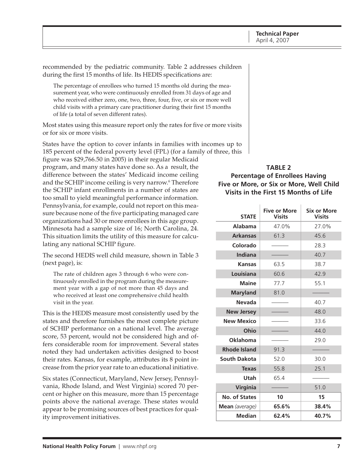recommended by the pediatric community. Table 2 addresses children during the first 15 months of life. Its HEDIS specifications are:

The percentage of enrollees who turned 15 months old during the measurement year, who were continuously enrolled from 31 days of age and who received either zero, one, two, three, four, five, or six or more well child visits with a primary care practitioner during their first 15 months of life (a total of seven different rates).

Most states using this measure report only the rates for five or more visits or for six or more visits.

States have the option to cover infants in families with incomes up to 185 percent of the federal poverty level (FPL) (for a family of three, this

figure was \$29,766.50 in 2005) in their regular Medicaid program, and many states have done so. As a result, the difference between the states' Medicaid income ceiling and the SCHIP income ceiling is very narrow.6 Therefore the SCHIP infant enrollments in a number of states are too small to yield meaningful performance information. Pennsylvania, for example, could not report on this measure because none of the five participating managed care organizations had 30 or more enrollees in this age group. Minnesota had a sample size of 16; North Carolina, 24. This situation limits the utility of this measure for calculating any national SCHIP figure.

The second HEDIS well child measure, shown in Table 3 (next page), is:

The rate of children ages 3 through 6 who were continuously enrolled in the program during the measurement year with a gap of not more than 45 days and who received at least one comprehensive child health visit in the year.

This is the HEDIS measure most consistently used by the states and therefore furnishes the most complete picture of SCHIP performance on a national level. The average score, 53 percent, would not be considered high and offers considerable room for improvement. Several states noted they had undertaken activities designed to boost their rates. Kansas, for example, attributes its 8 point increase from the prior year rate to an educational initiative.

Six states (Connecticut, Maryland, New Jersey, Pennsylvania, Rhode Island, and West Virginia) scored 70 percent or higher on this measure, more than 15 percentage points above the national average. These states would appear to be promising sources of best practices for quality improvement initiatives.

#### **TABLE 2 Percentage of Enrollees Having Five or More, or Six or More, Well Child Visits in the First 15 Months of Life**

| <b>STATE</b>        | <b>Five or More</b><br><b>Visits</b> | <b>Six or More</b><br><b>Visits</b> |
|---------------------|--------------------------------------|-------------------------------------|
| Alabama             | 47.0%                                | 27.0%                               |
| <b>Arkansas</b>     | 61.3                                 | 45.6                                |
| Colorado            |                                      | 28.3                                |
| <b>Indiana</b>      |                                      | 40.7                                |
| <b>Kansas</b>       | 63.5                                 | 38.7                                |
| Louisiana           | 60.6                                 | 42.9                                |
| <b>Maine</b>        | 77.7                                 | 55.1                                |
| <b>Maryland</b>     | 81.0                                 |                                     |
| <b>Nevada</b>       |                                      | 40.7                                |
| <b>New Jersey</b>   |                                      | 48.0                                |
| <b>New Mexico</b>   |                                      | 33.6                                |
| Ohio                |                                      | 44.0                                |
| <b>Oklahoma</b>     |                                      | 29.0                                |
| <b>Rhode Island</b> | 91.3                                 |                                     |
| <b>South Dakota</b> | 52.0                                 | 30.0                                |
| <b>Texas</b>        | 55.8                                 | 25.1                                |
| Utah                | 65.4                                 |                                     |
| Virginia            |                                      | 51.0                                |
| No. of States       | 10                                   | 15                                  |
| Mean (average)      | 65.6%                                | 38.4%                               |
| Median              | 62.4%                                | 40.7%                               |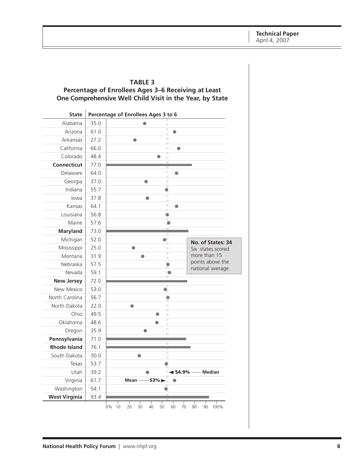#### **TABLE 3 Percentage of Enrollees Ages 3–6 Receiving at Least One Comprehensive Well Child Visit in the Year, by State**

| <b>State</b>         |      | Percentage of Enrollees Ages 3 to 6                              |
|----------------------|------|------------------------------------------------------------------|
| Alabama              | 35.0 | П                                                                |
| Arizona              | 61.0 | $\overline{\mathbb{I}}$<br>$\bullet$<br>$\left  \cdot \right $   |
| Arkansas             | 27.2 | $\vert \, \vert$<br>$\bullet$<br>Щ                               |
| California           | 66.0 | $\vert \, \vert$<br>$\bullet$                                    |
| Colorado             | 48.4 | Ħ<br>0<br>$\vert \vert$                                          |
| <b>Connecticut</b>   | 77.0 | Π<br>П                                                           |
| Delaware             | 64.0 | $\vert \, \vert$<br>$\bullet$<br>Į.                              |
| Georgia              | 37.0 | $\bullet$<br>$\vert \, \vert$                                    |
| Indiana              | 55.7 | Ħ<br>$\bullet$                                                   |
| lowa                 | 37.8 | $\overline{\mathbb{H}}$<br>$\bullet$<br>П                        |
| Kansas               | 64.1 | $\vert \, \vert$<br>$\bullet$<br>4                               |
| Louisiana            | 56.8 | $\bullet$                                                        |
| Maine                | 57.6 | π<br>O                                                           |
| <b>Maryland</b>      | 73.0 | Ц<br>Ш                                                           |
| Michigan             | 52.0 | $\bullet^{\! \! \perp}$<br>No. of States: 34<br>₩                |
| Mississippi          | 25.0 | $\bullet$<br>$\mid \; \mid$<br>Six states scored                 |
| Montana              | 31.9 | π<br>more than 15<br>$\bullet$<br>П                              |
| Nebraska             | 57.5 | points above the<br>$\overline{\bullet}$<br>national average.    |
| Nevada               | 59.1 | IO.<br>H                                                         |
| <b>New Jersey</b>    | 72.0 |                                                                  |
| New Mexico           | 53.0 | π<br>$\mathbf{Q}_\parallel$                                      |
| North Carolina       | 56.7 |                                                                  |
| North Dakota         | 22.0 | H.<br>$\bullet$<br>H                                             |
| Ohio                 | 49.5 | $\bullet$<br>$\left  \cdot \right $                              |
| Oklahoma             | 48.6 | Π<br>$\bullet$<br>$\left  \cdot \right $                         |
| Oregon               | 35.9 | $\vert \, \vert$<br>Ш                                            |
| Pennsylvania         | 71.0 | Ħ                                                                |
| <b>Rhode Island</b>  | 76.1 |                                                                  |
| South Dakota         | 30.0 | $\overline{\mathbb{H}}$<br>●<br>$\vert \, \vert$                 |
| Texas                | 53.7 |                                                                  |
| Utah                 | 39.2 | $\blacktriangleleft$ 54.9%<br><b>Median</b><br>Π,                |
| Virginia             | 61.7 | $-53\%$<br>Mean -                                                |
| Washington           | 54.1 | Π                                                                |
| <b>West Virginia</b> | 93.4 |                                                                  |
|                      |      | 10<br>20<br>30<br>60<br>70<br>80<br>0%<br>40<br>50<br>90<br>100% |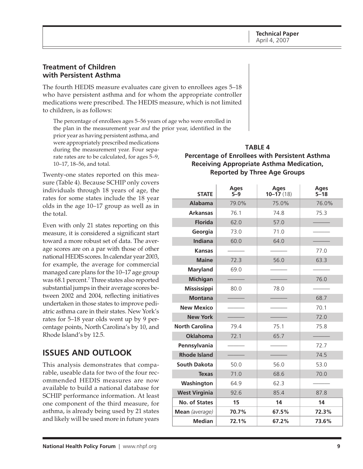#### **Treatment of Children with Persistent Asthma**

The fourth HEDIS measure evaluates care given to enrollees ages 5–18 who have persistent asthma and for whom the appropriate controller medications were prescribed. The HEDIS measure, which is not limited to children, is as follows:

The percentage of enrollees ages 5–56 years of age who were enrolled in the plan in the measurement year *and* the prior year, identified in the

prior year as having persistent asthma, and were appropriately prescribed medications during the measurement year. Four separate rates are to be calculated, for ages 5–9, 10–17, 18–56, and total.

Twenty-one states reported on this measure (Table 4). Because SCHIP only covers individuals through 18 years of age, the rates for some states include the 18 year olds in the age 10–17 group as well as in the total.

Even with only 21 states reporting on this measure, it is considered a significant start toward a more robust set of data. The average scores are on a par with those of other national HEDIS scores. In calendar year 2003, for example, the average for commercial managed care plans for the 10–17 age group was 68.1 percent.7 Three states also reported substantial jumps in their average scores between 2002 and 2004, reflecting initiatives undertaken in those states to improve pediatric asthma care in their states. New York's rates for 5–18 year olds went up by 9 percentage points, North Carolina's by 10, and Rhode Island's by 12.5.

# **ISSUES AND OUTLOOK**

This analysis demonstrates that comparable, useable data for two of the four recommended HEDIS measures are now available to build a national database for SCHIP performance information. At least one component of the third measure, for asthma, is already being used by 21 states and likely will be used more in future years

### **TABLE 4 Percentage of Enrollees with Persistent Asthma Receiving Appropriate Asthma Medication, Reported by Three Age Groups**

| <b>STATE</b>          | <b>Ages</b><br>$5 - 9$ | <b>Ages</b><br>$10 - 17(18)$ | <b>Ages</b><br>$5 - 18$ |
|-----------------------|------------------------|------------------------------|-------------------------|
| <b>Alabama</b>        | 79.0%                  | 75.0%                        | 76.0%                   |
| <b>Arkansas</b>       | 76.1                   | 74.8                         | 75.3                    |
| <b>Florida</b>        | 62.0                   | 57.0                         |                         |
| Georgia               | 73.0                   | 71.0                         |                         |
| <b>Indiana</b>        | 60.0                   | 64.0                         |                         |
| <b>Kansas</b>         |                        |                              | 77.0                    |
| <b>Maine</b>          | 72.3                   | 56.0                         | 63.3                    |
| <b>Maryland</b>       | 69.0                   |                              |                         |
| <b>Michigan</b>       |                        |                              | 76.0                    |
| <b>Mississippi</b>    | 80.0                   | 78.0                         |                         |
| <b>Montana</b>        |                        |                              | 68.7                    |
| <b>New Mexico</b>     |                        |                              | 70.1                    |
| <b>New York</b>       |                        |                              | 72.0                    |
| <b>North Carolina</b> | 79.4                   | 75.1                         | 75.8                    |
| <b>Oklahoma</b>       | 72.1                   | 65.7                         |                         |
| Pennsylvania          |                        |                              | 72.7                    |
| <b>Rhode Island</b>   |                        |                              | 74.5                    |
| <b>South Dakota</b>   | 50.0                   | 56.0                         | 53.0                    |
| <b>Texas</b>          | 71.0                   | 68.6                         | 70.0                    |
| Washington            | 64.9                   | 62.3                         |                         |
| <b>West Virginia</b>  | 92.6                   | 85.4                         | 87.8                    |
| No. of States         | 15                     | 14                           | 14                      |
| Mean (average)        | 70.7%                  | 67.5%                        | 72.3%                   |
| <b>Median</b>         | 72.1%                  | 67.2%                        | 73.6%                   |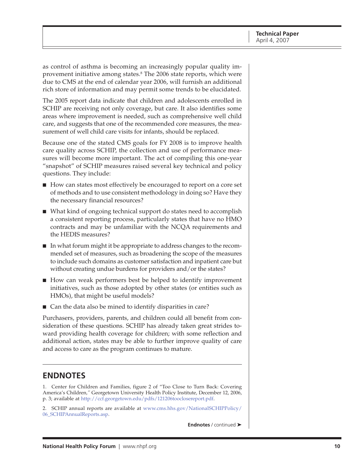as control of asthma is becoming an increasingly popular quality improvement initiative among states.<sup>8</sup> The 2006 state reports*,* which were due to CMS at the end of calendar year 2006, will furnish an additional rich store of information and may permit some trends to be elucidated.

The 2005 report data indicate that children and adolescents enrolled in SCHIP are receiving not only coverage, but care. It also identifies some areas where improvement is needed, such as comprehensive well child care, and suggests that one of the recommended core measures, the measurement of well child care visits for infants, should be replaced.

Because one of the stated CMS goals for FY 2008 is to improve health care quality across SCHIP, the collection and use of performance measures will become more important. The act of compiling this one-year "snapshot" of SCHIP measures raised several key technical and policy questions. They include:

- How can states most effectively be encouraged to report on a core set of methods and to use consistent methodology in doing so? Have they the necessary financial resources?
- What kind of ongoing technical support do states need to accomplish a consistent reporting process, particularly states that have no HMO contracts and may be unfamiliar with the NCQA requirements and the HEDIS measures?
- In what forum might it be appropriate to address changes to the recommended set of measures, such as broadening the scope of the measures to include such domains as customer satisfaction and inpatient care but without creating undue burdens for providers and/or the states?
- How can weak performers best be helped to identify improvement initiatives, such as those adopted by other states (or entities such as HMOs), that might be useful models?
- Can the data also be mined to identify disparities in care?

Purchasers, providers, parents, and children could all benefit from consideration of these questions. SCHIP has already taken great strides toward providing health coverage for children; with some reflection and additional action, states may be able to further improve quality of care and access to care as the program continues to mature.

## **ENDNOTES**

1. Center for Children and Families, figure 2 of "Too Close to Turn Back: Covering America's Children*,"* Georgetown University Health Policy Institute, December 12, 2006, p. 3; available at [http://ccf.georgetown.edu/pdfs/121206tooclosereport.pdf.](http://ccf.georgetown.edu/pdfs/121206tooclosereport.pdf)

[2. SCHIP annual reports are available at www.cms.hhs.gov/NationalSCHIPPolicy/](http://www.cms.hhs.gov/NationalSCHIPPolicy/06_SCHIPAnnualReports.asp) 06\_SCHIPAnnualReports.asp.

**Endnotes** / continued ➤